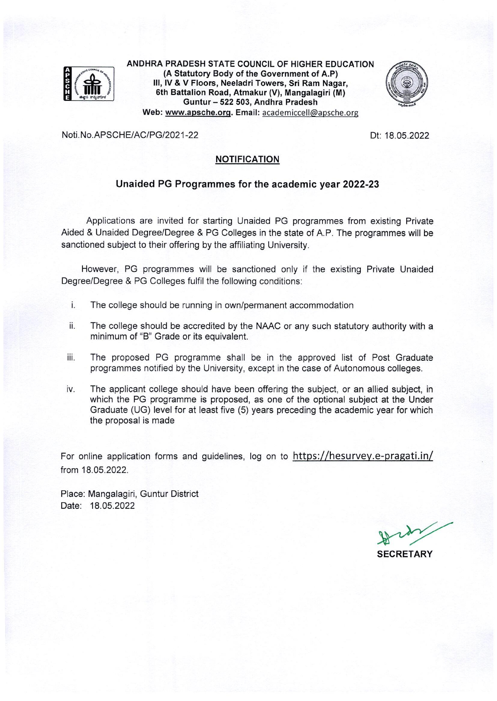

ANDHRA PRADESH STATE COUNCIL OF HIGHER EDUCATION (A Statutory Body of the Government of A.P) III, IV & V Floors, Neeladri Towers, Sri Ram Nagar, 6th Battalion Road, Atmakur (V), Mangalagiri (M) Guntur - 522 503, Andhra Pradesh Web: www.apsche.org. Email: academiccell@apsche.org



Noti.No.APSCHE/AC/PG/2021-22

Dt: 18.05.2022

#### **NOTIFICATION**

### Unaided PG Programmes for the academic year 2022-23

Applications are invited for starting Unaided PG programmes from existing Private Aided & Unaided Degree/Degree & PG Colleges in the state of A.P. The programmes will be sanctioned subject to their offering by the affiliating University.

However, PG programmes will be sanctioned only if the existing Private Unaided Degree/Degree & PG Colleges fulfil the following conditions:

- $\mathbf{i}$ . The college should be running in own/permanent accommodation
- The college should be accredited by the NAAC or any such statutory authority with a ii. minimum of "B" Grade or its equivalent.
- iii. The proposed PG programme shall be in the approved list of Post Graduate programmes notified by the University, except in the case of Autonomous colleges.
- The applicant college should have been offering the subject, or an allied subject, in iv. which the PG programme is proposed, as one of the optional subject at the Under Graduate (UG) level for at least five (5) years preceding the academic year for which the proposal is made

For online application forms and guidelines, log on to https://hesurvey.e-pragati.in/ from 18.05.2022.

Place: Mangalagiri, Guntur District Date: 18.05.2022

**SECRETARY**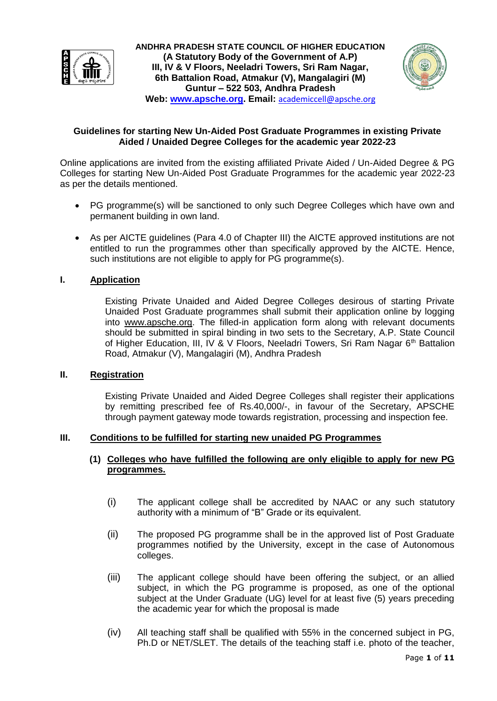

**ANDHRA PRADESH STATE COUNCIL OF HIGHER EDUCATION (A Statutory Body of the Government of A.P) III, IV & V Floors, Neeladri Towers, Sri Ram Nagar, 6th Battalion Road, Atmakur (V), Mangalagiri (M) Guntur – 522 503, Andhra Pradesh Web: [www.apsche.org.](http://www.apsche.org/) Email:** [academiccell@apsche.org](mailto:academiccell@apsche.org)



### **Guidelines for starting New Un-Aided Post Graduate Programmes in existing Private Aided / Unaided Degree Colleges for the academic year 2022-23**

Online applications are invited from the existing affiliated Private Aided / Un-Aided Degree & PG Colleges for starting New Un-Aided Post Graduate Programmes for the academic year 2022-23 as per the details mentioned.

- PG programme(s) will be sanctioned to only such Degree Colleges which have own and permanent building in own land.
- As per AICTE guidelines (Para 4.0 of Chapter III) the AICTE approved institutions are not entitled to run the programmes other than specifically approved by the AICTE. Hence, such institutions are not eligible to apply for PG programme(s).

# **I. Application**

Existing Private Unaided and Aided Degree Colleges desirous of starting Private Unaided Post Graduate programmes shall submit their application online by logging into [www.apsche.org.](http://www.apsche.org/) The filled-in application form along with relevant documents should be submitted in spiral binding in two sets to the Secretary, A.P. State Council of Higher Education, III, IV & V Floors, Neeladri Towers, Sri Ram Nagar  $6<sup>th</sup>$  Battalion Road, Atmakur (V), Mangalagiri (M), Andhra Pradesh

# **II. Registration**

Existing Private Unaided and Aided Degree Colleges shall register their applications by remitting prescribed fee of Rs.40,000/-, in favour of the Secretary, APSCHE through payment gateway mode towards registration, processing and inspection fee.

#### **III. Conditions to be fulfilled for starting new unaided PG Programmes**

# **(1) Colleges who have fulfilled the following are only eligible to apply for new PG programmes.**

- (i) The applicant college shall be accredited by NAAC or any such statutory authority with a minimum of "B" Grade or its equivalent.
- (ii) The proposed PG programme shall be in the approved list of Post Graduate programmes notified by the University, except in the case of Autonomous colleges.
- (iii) The applicant college should have been offering the subject, or an allied subject, in which the PG programme is proposed, as one of the optional subject at the Under Graduate (UG) level for at least five (5) years preceding the academic year for which the proposal is made
- (iv) All teaching staff shall be qualified with 55% in the concerned subject in PG, Ph.D or NET/SLET. The details of the teaching staff i.e. photo of the teacher,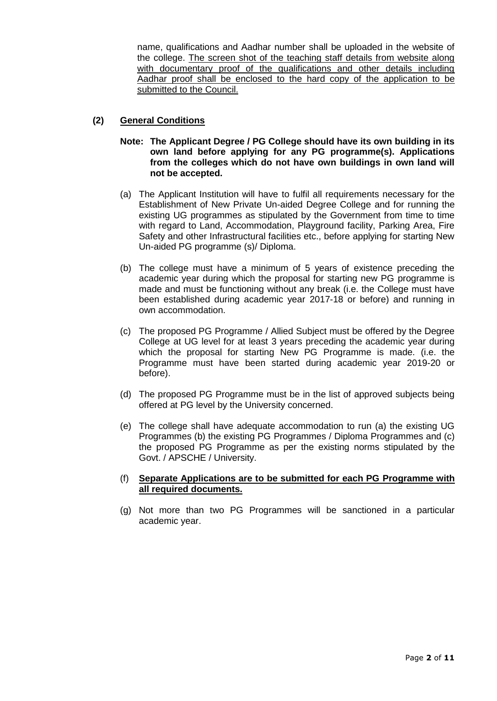name, qualifications and Aadhar number shall be uploaded in the website of the college. The screen shot of the teaching staff details from website along with documentary proof of the qualifications and other details including Aadhar proof shall be enclosed to the hard copy of the application to be submitted to the Council.

# **(2) General Conditions**

- **Note: The Applicant Degree / PG College should have its own building in its own land before applying for any PG programme(s). Applications from the colleges which do not have own buildings in own land will not be accepted.**
- (a) The Applicant Institution will have to fulfil all requirements necessary for the Establishment of New Private Un-aided Degree College and for running the existing UG programmes as stipulated by the Government from time to time with regard to Land, Accommodation, Playground facility, Parking Area, Fire Safety and other Infrastructural facilities etc., before applying for starting New Un-aided PG programme (s)/ Diploma.
- (b) The college must have a minimum of 5 years of existence preceding the academic year during which the proposal for starting new PG programme is made and must be functioning without any break (i.e. the College must have been established during academic year 2017-18 or before) and running in own accommodation.
- (c) The proposed PG Programme / Allied Subject must be offered by the Degree College at UG level for at least 3 years preceding the academic year during which the proposal for starting New PG Programme is made. (i.e. the Programme must have been started during academic year 2019-20 or before).
- (d) The proposed PG Programme must be in the list of approved subjects being offered at PG level by the University concerned.
- (e) The college shall have adequate accommodation to run (a) the existing UG Programmes (b) the existing PG Programmes / Diploma Programmes and (c) the proposed PG Programme as per the existing norms stipulated by the Govt. / APSCHE / University.

### (f) **Separate Applications are to be submitted for each PG Programme with all required documents.**

(g) Not more than two PG Programmes will be sanctioned in a particular academic year.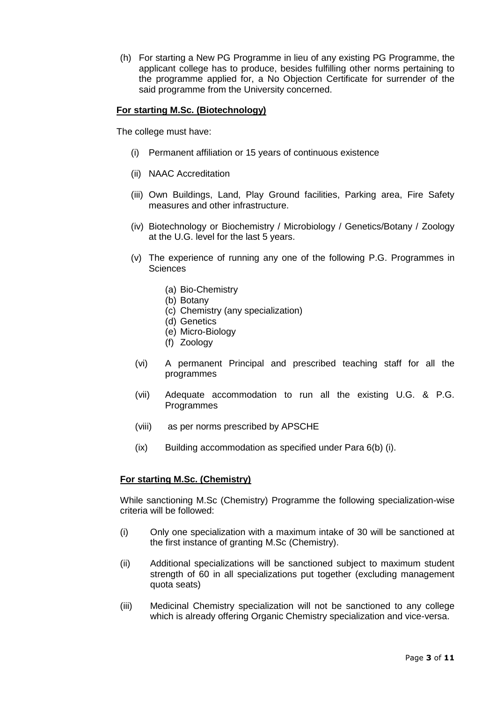(h) For starting a New PG Programme in lieu of any existing PG Programme, the applicant college has to produce, besides fulfilling other norms pertaining to the programme applied for, a No Objection Certificate for surrender of the said programme from the University concerned.

### **For starting M.Sc. (Biotechnology)**

The college must have:

- (i) Permanent affiliation or 15 years of continuous existence
- (ii) NAAC Accreditation
- (iii) Own Buildings, Land, Play Ground facilities, Parking area, Fire Safety measures and other infrastructure.
- (iv) Biotechnology or Biochemistry / Microbiology / Genetics/Botany / Zoology at the U.G. level for the last 5 years.
- (v) The experience of running any one of the following P.G. Programmes in **Sciences** 
	- (a) Bio-Chemistry
	- (b) Botany
	- (c) Chemistry (any specialization)
	- (d) Genetics
	- (e) Micro-Biology
	- (f) Zoology
- (vi) A permanent Principal and prescribed teaching staff for all the programmes
- (vii) Adequate accommodation to run all the existing U.G. & P.G. Programmes
- (viii) as per norms prescribed by APSCHE
- (ix) Building accommodation as specified under Para 6(b) (i).

# **For starting M.Sc. (Chemistry)**

While sanctioning M.Sc (Chemistry) Programme the following specialization-wise criteria will be followed:

- (i) Only one specialization with a maximum intake of 30 will be sanctioned at the first instance of granting M.Sc (Chemistry).
- (ii) Additional specializations will be sanctioned subject to maximum student strength of 60 in all specializations put together (excluding management quota seats)
- (iii) Medicinal Chemistry specialization will not be sanctioned to any college which is already offering Organic Chemistry specialization and vice-versa.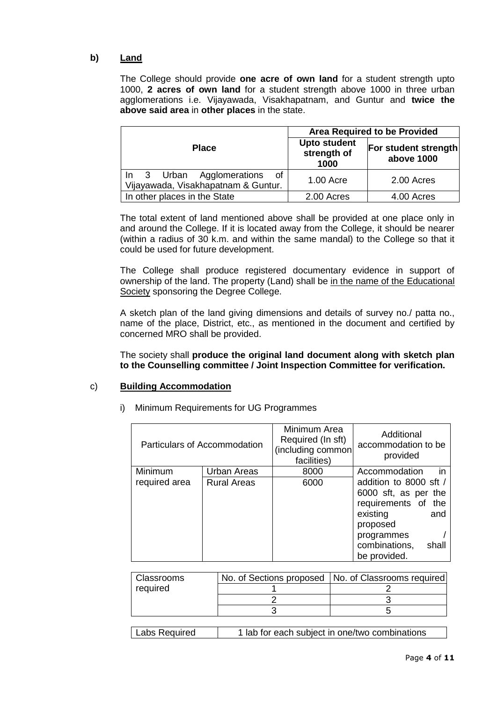# **b) Land**

The College should provide **one acre of own land** for a student strength upto 1000, **2 acres of own land** for a student strength above 1000 in three urban agglomerations i.e. Vijayawada, Visakhapatnam, and Guntur and **twice the above said area** in **other places** in the state.

|                                                                     | <b>Area Required to be Provided</b>        |                                    |  |  |
|---------------------------------------------------------------------|--------------------------------------------|------------------------------------|--|--|
| <b>Place</b>                                                        | <b>Upto student</b><br>strength of<br>1000 | For student strength<br>above 1000 |  |  |
| In 3 Urban Agglomerations of<br>Vijayawada, Visakhapatnam & Guntur. | 1.00 Acre                                  | 2.00 Acres                         |  |  |
| In other places in the State                                        | 2.00 Acres                                 | 4.00 Acres                         |  |  |

The total extent of land mentioned above shall be provided at one place only in and around the College. If it is located away from the College, it should be nearer (within a radius of 30 k.m. and within the same mandal) to the College so that it could be used for future development.

The College shall produce registered documentary evidence in support of ownership of the land. The property (Land) shall be in the name of the Educational Society sponsoring the Degree College.

A sketch plan of the land giving dimensions and details of survey no./ patta no., name of the place, District, etc., as mentioned in the document and certified by concerned MRO shall be provided.

The society shall **produce the original land document along with sketch plan to the Counselling committee / Joint Inspection Committee for verification.** 

# c) **Building Accommodation**

|                          | Particulars of Accommodation             | Minimum Area<br>Required (In sft)<br>(including common<br>facilities) | Additional<br>accommodation to be<br>provided                                                                                                                                          |
|--------------------------|------------------------------------------|-----------------------------------------------------------------------|----------------------------------------------------------------------------------------------------------------------------------------------------------------------------------------|
| Minimum<br>required area | <b>Urban Areas</b><br><b>Rural Areas</b> | 8000<br>6000                                                          | in<br>Accommodation<br>addition to 8000 sft /<br>6000 sft, as per the<br>requirements of<br>the<br>existing<br>and<br>proposed<br>programmes<br>combinations,<br>shall<br>be provided. |

|  |  |  |  | i) Minimum Requirements for UG Programmes |
|--|--|--|--|-------------------------------------------|
|--|--|--|--|-------------------------------------------|

| Classrooms | No. of Sections proposed   No. of Classrooms required |
|------------|-------------------------------------------------------|
| required   |                                                       |
|            |                                                       |
|            |                                                       |

| Labs Required<br>1 lab for each subject in one/two combinations |
|-----------------------------------------------------------------|
|-----------------------------------------------------------------|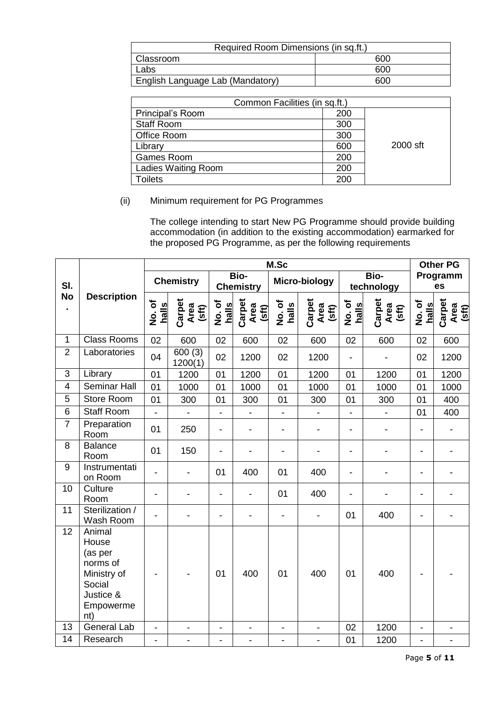| Required Room Dimensions (in sq.ft.) |     |  |  |  |
|--------------------------------------|-----|--|--|--|
| Classroom                            | റെറ |  |  |  |
| Labs                                 | റെറ |  |  |  |
| English Language Lab (Mandatory)     | റെറ |  |  |  |

| Common Facilities (in sq.ft.) |     |          |  |  |  |  |  |
|-------------------------------|-----|----------|--|--|--|--|--|
| Principal's Room              | 200 |          |  |  |  |  |  |
| <b>Staff Room</b>             | 300 |          |  |  |  |  |  |
| Office Room                   | 300 |          |  |  |  |  |  |
| Library                       | 600 | 2000 sft |  |  |  |  |  |
| Games Room                    | 200 |          |  |  |  |  |  |
| Ladies Waiting Room           | 200 |          |  |  |  |  |  |
| Toilets                       | 200 |          |  |  |  |  |  |

# (ii) Minimum requirement for PG Programmes

The college intending to start New PG Programme should provide building accommodation (in addition to the existing accommodation) earmarked for the proposed PG Programme, as per the following requirements

|                |                                                                                                  | M.Sc                     |                          |                          |                          |                              |                              |                          |                         | <b>Other PG</b>          |                              |
|----------------|--------------------------------------------------------------------------------------------------|--------------------------|--------------------------|--------------------------|--------------------------|------------------------------|------------------------------|--------------------------|-------------------------|--------------------------|------------------------------|
| SI.            |                                                                                                  |                          | <b>Chemistry</b>         |                          | Bio-<br><b>Chemistry</b> |                              | Micro-biology                |                          | Bio-<br>technology      |                          | Programm<br>es               |
| <b>No</b>      | <b>Description</b>                                                                               | No.of<br>halls           | Carpet<br>Area<br>(sft)  | No.of<br>halls           | Carpet<br>Area<br>(sft)  | No.of<br>halls               | Carpet<br>Area<br>(sft)      | No.of<br>halls           | Carpet<br>Area<br>(sft) | No.of<br>halls           | Carpet<br>Area<br>(sft)      |
| $\mathbf{1}$   | <b>Class Rooms</b>                                                                               | 02                       | 600                      | 02                       | 600                      | 02                           | 600                          | 02                       | 600                     | 02                       | 600                          |
| $\overline{2}$ | Laboratories                                                                                     | 04                       | 600(3)<br>1200(1)        | 02                       | 1200                     | 02                           | 1200                         | $\overline{a}$           |                         | 02                       | 1200                         |
| 3              | Library                                                                                          | 01                       | 1200                     | 01                       | 1200                     | 01                           | 1200                         | 01                       | 1200                    | 01                       | 1200                         |
| $\overline{4}$ | <b>Seminar Hall</b>                                                                              | 01                       | 1000                     | 01                       | 1000                     | 01                           | 1000                         | 01                       | 1000                    | 01                       | 1000                         |
| 5              | <b>Store Room</b>                                                                                | 01                       | 300                      | 01                       | 300                      | 01                           | 300                          | 01                       | 300                     | 01                       | 400                          |
| 6              | <b>Staff Room</b>                                                                                | $\overline{\phantom{0}}$ | ÷,                       | $\overline{\phantom{0}}$ | $\overline{a}$           | $\overline{\phantom{0}}$     | $\overline{\phantom{a}}$     | $\overline{a}$           |                         | 01                       | 400                          |
| $\overline{7}$ | Preparation<br>Room                                                                              | 01                       | 250                      | $\overline{\phantom{0}}$ | $\overline{a}$           | $\overline{\phantom{a}}$     | $\overline{a}$               | L,                       |                         | $\overline{a}$           |                              |
| 8              | <b>Balance</b><br>Room                                                                           | 01                       | 150                      | $\overline{\phantom{0}}$ |                          |                              |                              | $\overline{\phantom{0}}$ |                         | $\overline{\phantom{a}}$ |                              |
| 9              | Instrumentati<br>on Room                                                                         |                          |                          | 01                       | 400                      | 01                           | 400                          | L,                       |                         | $\overline{\phantom{0}}$ |                              |
| 10             | Culture<br>Room                                                                                  | $\overline{\phantom{0}}$ |                          | -                        | $\overline{a}$           | 01                           | 400                          | $\overline{a}$           |                         | L,                       |                              |
| 11             | Sterilization /<br>Wash Room                                                                     |                          |                          |                          |                          | $\overline{a}$               | $\overline{\phantom{0}}$     | 01                       | 400                     | $\overline{\phantom{0}}$ |                              |
| 12             | Animal<br>House<br>(as per<br>norms of<br>Ministry of<br>Social<br>Justice &<br>Empowerme<br>nt) |                          |                          | 01                       | 400                      | 01                           | 400                          | 01                       | 400                     |                          |                              |
| 13             | <b>General Lab</b>                                                                               | $\overline{\phantom{0}}$ | $\overline{\phantom{0}}$ | $\overline{\phantom{a}}$ | $\overline{\phantom{a}}$ | $\qquad \qquad \blacksquare$ | $\qquad \qquad \blacksquare$ | 02                       | 1200                    | $\overline{\phantom{0}}$ | $\qquad \qquad \blacksquare$ |
| 14             | Research                                                                                         | $\overline{a}$           | $\overline{a}$           | $\overline{a}$           | $\overline{a}$           | $\overline{a}$               | $\overline{a}$               | 01                       | 1200                    | $\overline{a}$           |                              |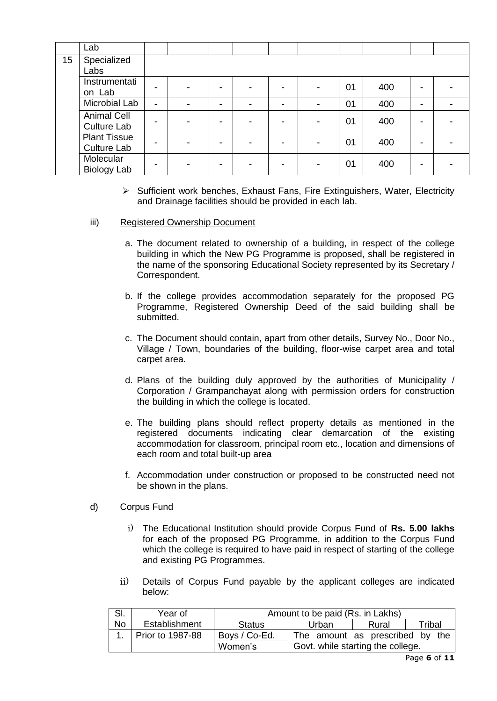|    | Lab                                       |   |  |   |   |   |    |     |   |  |
|----|-------------------------------------------|---|--|---|---|---|----|-----|---|--|
| 15 | Specialized<br>Labs                       |   |  |   |   |   |    |     |   |  |
|    | Instrumentati<br>on Lab                   |   |  |   |   |   | 01 | 400 |   |  |
|    | Microbial Lab                             | - |  | - | - | ٠ | 01 | 400 | - |  |
|    | <b>Animal Cell</b><br><b>Culture Lab</b>  |   |  |   |   |   | 01 | 400 |   |  |
|    | <b>Plant Tissue</b><br><b>Culture Lab</b> |   |  |   |   |   | 01 | 400 |   |  |
|    | Molecular<br><b>Biology Lab</b>           |   |  |   |   |   | 01 | 400 |   |  |

 $\triangleright$  Sufficient work benches, Exhaust Fans, Fire Extinguishers, Water, Electricity and Drainage facilities should be provided in each lab.

### iii) Registered Ownership Document

- a. The document related to ownership of a building, in respect of the college building in which the New PG Programme is proposed, shall be registered in the name of the sponsoring Educational Society represented by its Secretary / Correspondent.
- b. If the college provides accommodation separately for the proposed PG Programme, Registered Ownership Deed of the said building shall be submitted.
- c. The Document should contain, apart from other details, Survey No., Door No., Village / Town, boundaries of the building, floor-wise carpet area and total carpet area.
- d. Plans of the building duly approved by the authorities of Municipality / Corporation / Grampanchayat along with permission orders for construction the building in which the college is located.
- e. The building plans should reflect property details as mentioned in the registered documents indicating clear demarcation of the existing accommodation for classroom, principal room etc., location and dimensions of each room and total built-up area
- f. Accommodation under construction or proposed to be constructed need not be shown in the plans.
- d) Corpus Fund
	- i) The Educational Institution should provide Corpus Fund of **Rs. 5.00 lakhs** for each of the proposed PG Programme, in addition to the Corpus Fund which the college is required to have paid in respect of starting of the college and existing PG Programmes.
	- ii) Details of Corpus Fund payable by the applicant colleges are indicated below:

| SI. | Year of          | Amount to be paid (Rs. in Lakhs) |                                   |       |        |  |  |
|-----|------------------|----------------------------------|-----------------------------------|-------|--------|--|--|
| No. | Establishment    | Status                           | Urban                             | Rural | Tribal |  |  |
|     | Prior to 1987-88 | Boys / Co-Ed.                    | The amount as prescribed by the   |       |        |  |  |
|     |                  | Women's                          | Govt. while starting the college. |       |        |  |  |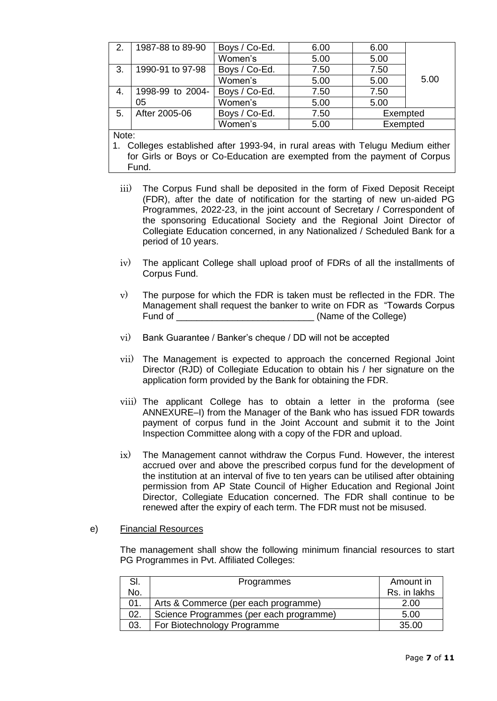| 2.    | 1987-88 to 89-90 | Boys / Co-Ed. | 6.00 | 6.00     |      |  |
|-------|------------------|---------------|------|----------|------|--|
|       |                  | Women's       | 5.00 | 5.00     |      |  |
| 3.    | 1990-91 to 97-98 | Boys / Co-Ed. | 7.50 | 7.50     |      |  |
|       |                  | Women's       | 5.00 | 5.00     | 5.00 |  |
| 4.    | 1998-99 to 2004- | Boys / Co-Ed. | 7.50 | 7.50     |      |  |
|       | 05               | Women's       | 5.00 | 5.00     |      |  |
| 5.    | After 2005-06    | Boys / Co-Ed. | 7.50 | Exempted |      |  |
|       |                  | Women's       | 5.00 | Exempted |      |  |
| Note: |                  |               |      |          |      |  |

1. Colleges established after 1993-94, in rural areas with Telugu Medium either for Girls or Boys or Co-Education are exempted from the payment of Corpus Fund.

- iii) The Corpus Fund shall be deposited in the form of Fixed Deposit Receipt (FDR), after the date of notification for the starting of new un-aided PG Programmes, 2022-23, in the joint account of Secretary / Correspondent of the sponsoring Educational Society and the Regional Joint Director of Collegiate Education concerned, in any Nationalized / Scheduled Bank for a period of 10 years.
- iv) The applicant College shall upload proof of FDRs of all the installments of Corpus Fund.
- v) The purpose for which the FDR is taken must be reflected in the FDR. The Management shall request the banker to write on FDR as "Towards Corpus Fund of **Example 2** (Name of the College)
- vi) Bank Guarantee / Banker's cheque / DD will not be accepted
- vii) The Management is expected to approach the concerned Regional Joint Director (RJD) of Collegiate Education to obtain his / her signature on the application form provided by the Bank for obtaining the FDR.
- viii) The applicant College has to obtain a letter in the proforma (see ANNEXURE–I) from the Manager of the Bank who has issued FDR towards payment of corpus fund in the Joint Account and submit it to the Joint Inspection Committee along with a copy of the FDR and upload.
- ix) The Management cannot withdraw the Corpus Fund. However, the interest accrued over and above the prescribed corpus fund for the development of the institution at an interval of five to ten years can be utilised after obtaining permission from AP State Council of Higher Education and Regional Joint Director, Collegiate Education concerned. The FDR shall continue to be renewed after the expiry of each term. The FDR must not be misused.

#### e) Financial Resources

The management shall show the following minimum financial resources to start PG Programmes in Pvt. Affiliated Colleges:

| SI. | Programmes                              | Amount in    |
|-----|-----------------------------------------|--------------|
| No. |                                         | Rs. in lakhs |
| 01. | Arts & Commerce (per each programme)    | 2.00         |
| 02. | Science Programmes (per each programme) | 5.00         |
| 03. | For Biotechnology Programme             | 35.00        |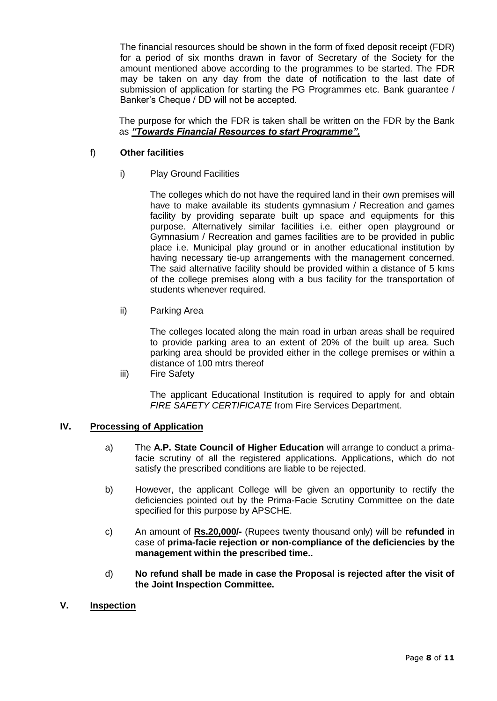The financial resources should be shown in the form of fixed deposit receipt (FDR) for a period of six months drawn in favor of Secretary of the Society for the amount mentioned above according to the programmes to be started. The FDR may be taken on any day from the date of notification to the last date of submission of application for starting the PG Programmes etc. Bank guarantee / Banker's Cheque / DD will not be accepted.

The purpose for which the FDR is taken shall be written on the FDR by the Bank as *"Towards Financial Resources to start Programme".*

### f) **Other facilities**

i) Play Ground Facilities

The colleges which do not have the required land in their own premises will have to make available its students gymnasium / Recreation and games facility by providing separate built up space and equipments for this purpose. Alternatively similar facilities i.e. either open playground or Gymnasium / Recreation and games facilities are to be provided in public place i.e. Municipal play ground or in another educational institution by having necessary tie-up arrangements with the management concerned. The said alternative facility should be provided within a distance of 5 kms of the college premises along with a bus facility for the transportation of students whenever required.

ii) Parking Area

The colleges located along the main road in urban areas shall be required to provide parking area to an extent of 20% of the built up area. Such parking area should be provided either in the college premises or within a distance of 100 mtrs thereof

iii) Fire Safety

The applicant Educational Institution is required to apply for and obtain *FIRE SAFETY CERTIFICATE* from Fire Services Department.

# **IV. Processing of Application**

- a) The **A.P. State Council of Higher Education** will arrange to conduct a primafacie scrutiny of all the registered applications. Applications, which do not satisfy the prescribed conditions are liable to be rejected.
- b) However, the applicant College will be given an opportunity to rectify the deficiencies pointed out by the Prima-Facie Scrutiny Committee on the date specified for this purpose by APSCHE.
- c) An amount of **Rs.20,000/-** (Rupees twenty thousand only) will be **refunded** in case of **prima-facie rejection or non-compliance of the deficiencies by the management within the prescribed time..**
- d) **No refund shall be made in case the Proposal is rejected after the visit of the Joint Inspection Committee.**
- **V. Inspection**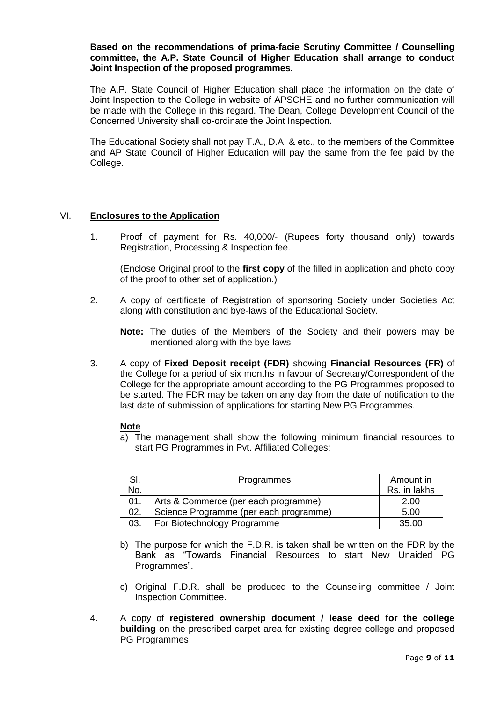#### **Based on the recommendations of prima-facie Scrutiny Committee / Counselling committee, the A.P. State Council of Higher Education shall arrange to conduct Joint Inspection of the proposed programmes.**

The A.P. State Council of Higher Education shall place the information on the date of Joint Inspection to the College in website of APSCHE and no further communication will be made with the College in this regard. The Dean, College Development Council of the Concerned University shall co-ordinate the Joint Inspection.

The Educational Society shall not pay T.A., D.A. & etc., to the members of the Committee and AP State Council of Higher Education will pay the same from the fee paid by the College.

### VI. **Enclosures to the Application**

1. Proof of payment for Rs. 40,000/- (Rupees forty thousand only) towards Registration, Processing & Inspection fee.

(Enclose Original proof to the **first copy** of the filled in application and photo copy of the proof to other set of application.)

2. A copy of certificate of Registration of sponsoring Society under Societies Act along with constitution and bye-laws of the Educational Society.

**Note:** The duties of the Members of the Society and their powers may be mentioned along with the bye-laws

3. A copy of **Fixed Deposit receipt (FDR)** showing **Financial Resources (FR)** of the College for a period of six months in favour of Secretary/Correspondent of the College for the appropriate amount according to the PG Programmes proposed to be started. The FDR may be taken on any day from the date of notification to the last date of submission of applications for starting New PG Programmes.

#### **Note**

a) The management shall show the following minimum financial resources to start PG Programmes in Pvt. Affiliated Colleges:

| SI. | Programmes                             | Amount in    |
|-----|----------------------------------------|--------------|
| No. |                                        | Rs. in lakhs |
| 01. | Arts & Commerce (per each programme)   | 2.00         |
| 02. | Science Programme (per each programme) | 5.00         |
| 03. | For Biotechnology Programme            | 35.00        |

- b) The purpose for which the F.D.R. is taken shall be written on the FDR by the Bank as "Towards Financial Resources to start New Unaided PG Programmes".
- c) Original F.D.R. shall be produced to the Counseling committee / Joint Inspection Committee.
- 4. A copy of **registered ownership document / lease deed for the college building** on the prescribed carpet area for existing degree college and proposed PG Programmes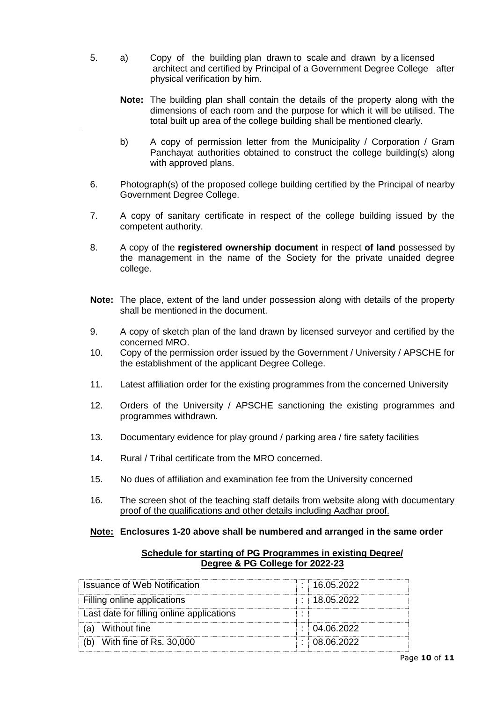- 5. a) Copy of the building plan drawn to scale and drawn by a licensed architect and certified by Principal of a Government Degree College after physical verification by him.
	- **Note:** The building plan shall contain the details of the property along with the dimensions of each room and the purpose for which it will be utilised. The total built up area of the college building shall be mentioned clearly.
	- b) A copy of permission letter from the Municipality / Corporation / Gram Panchayat authorities obtained to construct the college building(s) along with approved plans.
- 6. Photograph(s) of the proposed college building certified by the Principal of nearby Government Degree College.
- 7. A copy of sanitary certificate in respect of the college building issued by the competent authority.
- 8. A copy of the **registered ownership document** in respect **of land** possessed by the management in the name of the Society for the private unaided degree college.
- **Note:** The place, extent of the land under possession along with details of the property shall be mentioned in the document.
- 9. A copy of sketch plan of the land drawn by licensed surveyor and certified by the concerned MRO.
- 10. Copy of the permission order issued by the Government / University / APSCHE for the establishment of the applicant Degree College.
- 11. Latest affiliation order for the existing programmes from the concerned University
- 12. Orders of the University / APSCHE sanctioning the existing programmes and programmes withdrawn.
- 13. Documentary evidence for play ground / parking area / fire safety facilities
- 14. Rural / Tribal certificate from the MRO concerned.
- 15. No dues of affiliation and examination fee from the University concerned
- 16. The screen shot of the teaching staff details from website along with documentary proof of the qualifications and other details including Aadhar proof.

# **Note: Enclosures 1-20 above shall be numbered and arranged in the same order**

| Schedule for starting of PG Programmes in existing Degree/ |
|------------------------------------------------------------|
| Degree & PG College for 2022-23                            |

| Issuance of Web Notification              |  | : 16.05.2022 |
|-------------------------------------------|--|--------------|
| Filling online applications               |  | : 18.05.2022 |
| Last date for filling online applications |  |              |
| (a) Without fine                          |  | 1.04.06.2022 |
| With fine of Rs. 30,000                   |  | : 08.06.2022 |